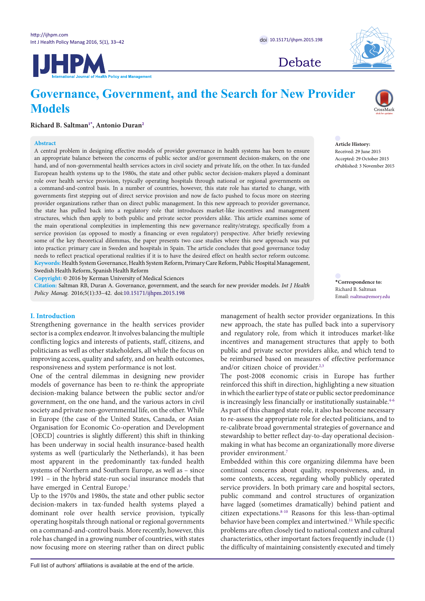



Debate

# **Governance, Government, and the Search for New Provider Models**

# **Richard B. Saltman[1](#page-7-0)[\\*](#page-0-0) , Antonio Duran[2](#page-7-1)**

#### **Abstract**

A central problem in designing effective models of provider governance in health systems has been to ensure an appropriate balance between the concerns of public sector and/or government decision-makers, on the one hand, and of non-governmental health services actors in civil society and private life, on the other. In tax-funded European health systems up to the 1980s, the state and other public sector decision-makers played a dominant role over health service provision, typically operating hospitals through national or regional governments on a command-and-control basis. In a number of countries, however, this state role has started to change, with governments first stepping out of direct service provision and now de facto pushed to focus more on steering provider organizations rather than on direct public management. In this new approach to provider governance, the state has pulled back into a regulatory role that introduces market-like incentives and management structures, which then apply to both public and private sector providers alike. This article examines some of the main operational complexities in implementing this new governance reality/strategy, specifically from a service provision (as opposed to mostly a financing or even regulatory) perspective. After briefly reviewing some of the key theoretical dilemmas, the paper presents two case studies where this new approach was put into practice: primary care in Sweden and hospitals in Spain. The article concludes that good governance today needs to reflect practical operational realities if it is to have the desired effect on health sector reform outcome. **Keywords:** Health System Governance, Health System Reform, Primary Care Reform, Public Hospital Management, Swedish Health Reform, Spanish Health Reform

**Copyright:** © 2016 by Kerman University of Medical Sciences

**Citation:** Saltman RB, Duran A. Governance, government, and the search for new provider models. *Int J Health Policy Manag.* 2016;5(1):33–42. doi[:10.15171/ijhpm.2015.198](http://dx.doi.org/10.15171/ijhpm.2015.198)

## **I. Introduction**

Strengthening governance in the health services provider sector is a complex endeavor. It involves balancing the multiple conflicting logics and interests of patients, staff, citizens, and politicians as well as other stakeholders, all while the focus on improving access, quality and safety, and on health outcomes, responsiveness and system performance is not lost.

One of the central dilemmas in designing new provider models of governance has been to re-think the appropriate decision-making balance between the public sector and/or government, on the one hand, and the various actors in civil society and private non-governmental life, on the other. While in Europe (the case of the United States, Canada, or Asian Organisation for Economic Co-operation and Development [OECD] countries is slightly different) this shift in thinking has been underway in social health insurance-based health systems as well (particularly the Netherlands), it has been most apparent in the predominantly tax-funded health systems of Northern and Southern Europe, as well as – since 1991 – in the hybrid state-run social insurance models that have emerged in Central Europe.<sup>[1](#page-7-2)</sup>

Up to the 1970s and 1980s, the state and other public sector decision-makers in tax-funded health systems played a dominant role over health service provision, typically operating hospitals through national or regional governments on a command-and-control basis. More recently, however, this role has changed in a growing number of countries, with states now focusing more on steering rather than on direct public management of health sector provider organizations. In this new approach, the state has pulled back into a supervisory and regulatory role, from which it introduces market-like incentives and management structures that apply to both public and private sector providers alike, and which tend to be reimbursed based on measures of effective performance

and/or citizen choice of provider.<sup>2,[3](#page-7-4)</sup> The post-2008 economic crisis in Europe has further reinforced this shift in direction, highlighting a new situation in which the earlier type of state or public sector predominance is increasingly less financially or institutionally sustainable.<sup>4-[6](#page-8-1)</sup> As part of this changed state role, it also has become necessary to re-assess the appropriate role for elected politicians, and to re-calibrate broad governmental strategies of governance and stewardship to better reflect day-to-day operational decisionmaking in what has become an organizationally more diverse provider environment.[7](#page-8-2)

Embedded within this core organizing dilemma have been continual concerns about quality, responsiveness, and, in some contexts, access, regarding wholly publicly operated service providers. In both primary care and hospital sectors, public command and control structures of organization have lagged (sometimes dramatically) behind patient and citizen expectations.[8-](#page-8-3)[10](#page-8-4) Reasons for this less-than-optimal behavior have been complex and intertwined.<sup>[11](#page-8-5)</sup> While specific problems are often closely tied to national context and cultural characteristics, other important factors frequently include (1) the difficulty of maintaining consistently executed and timely



**Article History:** Received: 29 June 2015 Accepted: 29 October 2015 ePublished: 3 November 2015

<span id="page-0-0"></span>**\*Correspondence to:** Richard B. Saltman Email: rsaltma@emory.edu

Full list of authors' affiliations is available at the end of the article.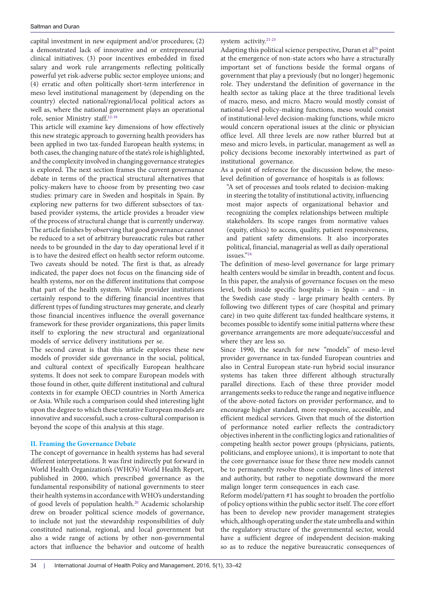capital investment in new equipment and/or procedures; (2) a demonstrated lack of innovative and or entrepreneurial clinical initiatives; (3) poor incentives embedded in fixed salary and work rule arrangements reflecting politically powerful yet risk-adverse public sector employee unions; and (4) erratic and often politically short-term interference in meso level institutional management by (depending on the country) elected national/regional/local political actors as well as, where the national government plays an operational role, senior Ministry staff[.12-](#page-8-6)[19](#page-8-7)

This article will examine key dimensions of how effectively this new strategic approach to governing health providers has been applied in two tax-funded European health systems; in both cases, the changing nature of the state's role is highlighted, and the complexity involved in changing governance strategies is explored. The next section frames the current governance debate in terms of the practical structural alternatives that policy-makers have to choose from by presenting two case studies: primary care in Sweden and hospitals in Spain. By exploring new patterns for two different subsectors of taxbased provider systems, the article provides a broader view of the process of structural change that is currently underway. The article finishes by observing that good governance cannot be reduced to a set of arbitrary bureaucratic rules but rather needs to be grounded in the day to day operational level if it is to have the desired effect on health sector reform outcome. Two caveats should be noted. The first is that, as already indicated, the paper does not focus on the financing side of health systems, nor on the different institutions that compose that part of the health system. While provider institutions certainly respond to the differing financial incentives that different types of funding structures may generate, and clearly those financial incentives influence the overall governance framework for these provider organizations, this paper limits itself to exploring the new structural and organizational models of service delivery institutions per se.

The second caveat is that this article explores these new models of provider side governance in the social, political, and cultural context of specifically European healthcare systems. It does not seek to compare European models with those found in other, quite different institutional and cultural contexts in for example OECD countries in North America or Asia. While such a comparison could shed interesting light upon the degree to which these tentative European models are innovative and successful, such a cross-cultural comparison is beyond the scope of this analysis at this stage.

#### **II. Framing the Governance Debate**

The concept of governance in health systems has had several different interpretations. It was first indirectly put forward in World Health Organization's (WHO's) World Health Report, published in 2000, which prescribed governance as the fundamental responsibility of national governments to steer their health systems in accordance with WHO's understanding of good levels of population health[.20](#page-8-8) Academic scholarship drew on broader political science models of governance, to include not just the stewardship responsibilities of duly constituted national, regional, and local government but also a wide range of actions by other non-governmental actors that influence the behavior and outcome of health

system activity[.21-](#page-8-9)[23](#page-8-10)

Adapting this political science perspective, Duran et al<sup>[24](#page-8-11)</sup> point at the emergence of non-state actors who have a structurally important set of functions beside the formal organs of government that play a previously (but no longer) hegemonic role. They understand the definition of governance in the health sector as taking place at the three traditional levels of macro, meso, and micro. Macro would mostly consist of national-level policy-making functions, meso would consist of institutional-level decision-making functions, while micro would concern operational issues at the clinic or physician office level. All three levels are now rather blurred but at meso and micro levels, in particular, management as well as policy decisions become inexorably intertwined as part of institutional governance.

As a point of reference for the discussion below, the mesolevel definition of governance of hospitals is as follows:

"A set of processes and tools related to decision-making in steering the totality of institutional activity, influencing most major aspects of organizational behavior and recognizing the complex relationships between multiple stakeholders. Its scope ranges from normative values (equity, ethics) to access, quality, patient responsiveness, and patient safety dimensions. It also incorporates political, financial, managerial as well as daily operational issues."[24](#page-8-11)

The definition of meso-level governance for large primary health centers would be similar in breadth, content and focus. In this paper, the analysis of governance focuses on the meso level, both inside specific hospitals – in Spain – and – in the Swedish case study – large primary health centers. By following two different types of care (hospital and primary care) in two quite different tax-funded healthcare systems, it becomes possible to identify some initial patterns where these governance arrangements are more adequate/successful and where they are less so.

Since 1990, the search for new "models" of meso-level provider governance in tax-funded European countries and also in Central European state-run hybrid social insurance systems has taken three different although structurally parallel directions. Each of these three provider model arrangements seeks to reduce the range and negative influence of the above-noted factors on provider performance, and to encourage higher standard, more responsive, accessible, and efficient medical services. Given that much of the distortion of performance noted earlier reflects the contradictory objectives inherent in the conflicting logics and rationalities of competing health sector power groups (physicians, patients, politicians, and employee unions), it is important to note that the core governance issue for these three new models cannot be to permanently resolve those conflicting lines of interest and authority, but rather to negotiate downward the more malign longer term consequences in each case.

Reform model/pattern #1 has sought to broaden the portfolio of policy options within the public sector itself. The core effort has been to develop new provider management strategies which, although operating under the state umbrella and within the regulatory structure of the governmental sector, would have a sufficient degree of independent decision-making so as to reduce the negative bureaucratic consequences of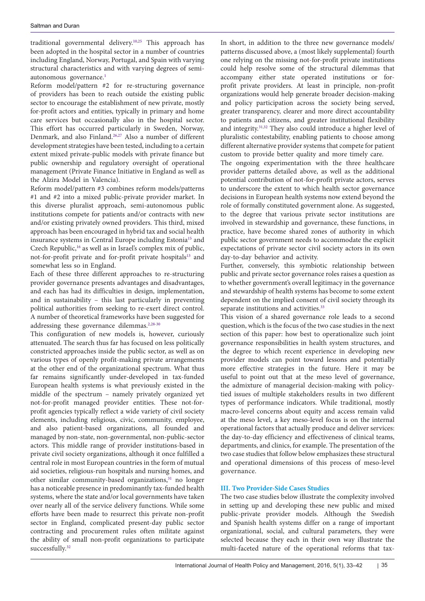traditional governmental delivery[.10](#page-8-4)[,25](#page-8-12) This approach has been adopted in the hospital sector in a number of countries including England, Norway, Portugal, and Spain with varying structural characteristics and with varying degrees of semi-autonomous governance.<sup>[1](#page-7-2)</sup>

Reform model/pattern #2 for re-structuring governance of providers has been to reach outside the existing public sector to encourage the establishment of new private, mostly for-profit actors and entities, typically in primary and home care services but occasionally also in the hospital sector. This effort has occurred particularly in Sweden, Norway, Denmark, and also Finland[.26](#page-8-13)[,27](#page-8-14) Also a number of different development strategies have been tested, including to a certain extent mixed private-public models with private finance but public ownership and regulatory oversight of operational management (Private Finance Initiative in England as well as the Alzira Model in Valencia).

Reform model/pattern #3 combines reform models/patterns #1 and #2 into a mixed public-private provider market. In this diverse pluralist approach, semi-autonomous public institutions compete for patients and/or contracts with new and/or existing privately owned providers. This third, mixed approach has been encouraged in hybrid tax and social health insurance systems in Central Europe including Estonia<sup>15</sup> and Czech Republic,<sup>16</sup> as well as in Israel's complex mix of public, not-for-profit private and for-profit private hospitals<sup>13</sup> and somewhat less so in England.

Each of these three different approaches to re-structuring provider governance presents advantages and disadvantages, and each has had its difficulties in design, implementation, and in sustainability – this last particularly in preventing political authorities from seeking to re-exert direct control. A number of theoretical frameworks have been suggested for addressing these governance dilemmas.<sup>2[,28-](#page-8-18)[30](#page-8-19)</sup>

This configuration of new models is, however, curiously attenuated. The search thus far has focused on less politically constricted approaches inside the public sector, as well as on various types of openly profit-making private arrangements at the other end of the organizational spectrum. What thus far remains significantly under-developed in tax-funded European health systems is what previously existed in the middle of the spectrum – namely privately organized yet not-for-profit managed provider entities. These not-forprofit agencies typically reflect a wide variety of civil society elements, including religious, civic, community, employee, and also patient-based organizations, all founded and managed by non-state, non-governmental, non-public-sector actors. This middle range of provider institutions-based in private civil society organizations, although it once fulfilled a central role in most European countries in the form of mutual aid societies, religious-run hospitals and nursing homes, and other similar community-based organizations,<sup>31</sup> no longer has a noticeable presence in predominantly tax-funded health systems, where the state and/or local governments have taken over nearly all of the service delivery functions. While some efforts have been made to resurrect this private non-profit sector in England, complicated present-day public sector contracting and procurement rules often militate against the ability of small non-profit organizations to participate successfully.<sup>32</sup>

In short, in addition to the three new governance models/ patterns discussed above, a (most likely supplemental) fourth one relying on the missing not-for-profit private institutions could help resolve some of the structural dilemmas that accompany either state operated institutions or forprofit private providers. At least in principle, non-profit organizations would help generate broader decision-making and policy participation across the society being served, greater transparency, clearer and more direct accountability to patients and citizens, and greater institutional flexibility and integrity[.31](#page-8-20)[,32](#page-8-21) They also could introduce a higher level of pluralistic contestability, enabling patients to choose among different alternative provider systems that compete for patient custom to provide better quality and more timely care.

The ongoing experimentation with the three healthcare provider patterns detailed above, as well as the additional potential contribution of not-for-profit private actors, serves to underscore the extent to which health sector governance decisions in European health systems now extend beyond the role of formally constituted government alone. As suggested, to the degree that various private sector institutions are involved in stewardship and governance, these functions, in practice, have become shared zones of authority in which public sector government needs to accommodate the explicit expectations of private sector civil society actors in its own day-to-day behavior and activity.

Further, conversely, this symbiotic relationship between public and private sector governance roles raises a question as to whether government's overall legitimacy in the governance and stewardship of health systems has become to some extent dependent on the implied consent of civil society through its separate institutions and activities.<sup>33</sup>

This vision of a shared governance role leads to a second question, which is the focus of the two case studies in the next section of this paper: how best to operationalize such joint governance responsibilities in health system structures, and the degree to which recent experience in developing new provider models can point toward lessons and potentially more effective strategies in the future. Here it may be useful to point out that at the meso level of governance, the admixture of managerial decision-making with policytied issues of multiple stakeholders results in two different types of performance indicators. While traditional, mostly macro-level concerns about equity and access remain valid at the meso level, a key meso-level focus is on the internal operational factors that actually produce and deliver services: the day-to-day efficiency and effectiveness of clinical teams, departments, and clinics, for example. The presentation of the two case studies that follow below emphasizes these structural and operational dimensions of this process of meso-level governance.

## **III. Two Provider-Side Cases Studies**

The two case studies below illustrate the complexity involved in setting up and developing these new public and mixed public-private provider models. Although the Swedish and Spanish health systems differ on a range of important organizational, social, and cultural parameters, they were selected because they each in their own way illustrate the multi-faceted nature of the operational reforms that tax-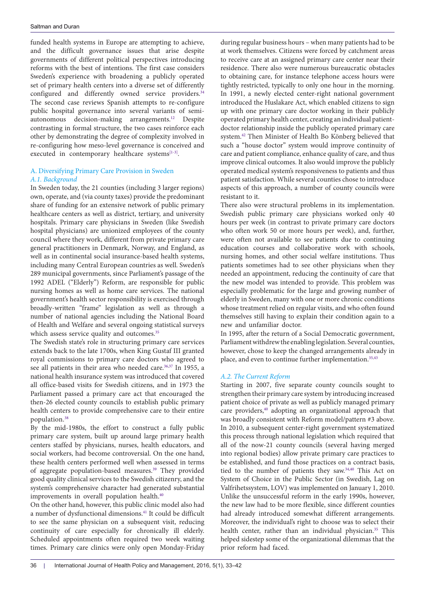funded health systems in Europe are attempting to achieve, and the difficult governance issues that arise despite governments of different political perspectives introducing reforms with the best of intentions. The first case considers Sweden's experience with broadening a publicly operated set of primary health centers into a diverse set of differently configured and differently owned service providers.<sup>[34](#page-8-23)</sup> The second case reviews Spanish attempts to re-configure public hospital governance into several variants of semiautonomous decision-making arrangements[.12](#page-8-6) Despite contrasting in formal structure, the two cases reinforce each other by demonstrating the degree of complexity involved in re-configuring how meso-level governance is conceived and executed in contemporary healthcare systems<sup>[\[1](#page-7-5)[-3\]](#page-7-6)</sup>.

## A. Diversifying Primary Care Provision in Sweden *A.1. Background*

In Sweden today, the 21 counties (including 3 larger regions) own, operate, and (via county taxes) provide the predominant share of funding for an extensive network of public primary healthcare centers as well as district, tertiary, and university hospitals. Primary care physicians in Sweden (like Swedish hospital physicians) are unionized employees of the county council where they work, different from private primary care general practitioners in Denmark, Norway, and England, as well as in continental social insurance-based health systems, including many Central European countries as well. Sweden's 289 municipal governments, since Parliament's passage of the 1992 ADEL ("Elderly") Reform, are responsible for public nursing homes as well as home care services. The national government's health sector responsibility is exercised through broadly-written "frame" legislation as well as through a number of national agencies including the National Board of Health and Welfare and several ongoing statistical surveys which assess service quality and outcomes.<sup>[35](#page-8-24)</sup>

The Swedish state's role in structuring primary care services extends back to the late 1700s, when King Gustaf III granted royal commissions to primary care doctors who agreed to see all patients in their area who needed care.<sup>[36](#page-8-25),[37](#page-8-26)</sup> In 1955, a national health insurance system was introduced that covered all office-based visits for Swedish citizens, and in 1973 the Parliament passed a primary care act that encouraged the then-26 elected county councils to establish public primary health centers to provide comprehensive care to their entire population[.38](#page-8-27)

By the mid-1980s, the effort to construct a fully public primary care system, built up around large primary health centers staffed by physicians, nurses, health educators, and social workers, had become controversial. On the one hand, these health centers performed well when assessed in terms of aggregate population-based measures.[39](#page-9-0) They provided good quality clinical services to the Swedish citizenry, and the system's comprehensive character had generated substantial improvements in overall population health.<sup>40</sup>

On the other hand, however, this public clinic model also had a number of dysfunctional dimensions[.41](#page-9-2) It could be difficult to see the same physician on a subsequent visit, reducing continuity of care especially for chronically ill elderly. Scheduled appointments often required two week waiting times. Primary care clinics were only open Monday-Friday during regular business hours – when many patients had to be at work themselves. Citizens were forced by catchment areas to receive care at an assigned primary care center near their residence. There also were numerous bureaucratic obstacles to obtaining care, for instance telephone access hours were tightly restricted, typically to only one hour in the morning. In 1991, a newly elected center-right national government introduced the Huslakare Act, which enabled citizens to sign up with one primary care doctor working in their publicly operated primary health center, creating an individual patientdoctor relationship inside the publicly operated primary care system.[42](#page-9-3) Then Minister of Health Bo Könberg believed that such a "house doctor" system would improve continuity of care and patient compliance, enhance quality of care, and thus improve clinical outcomes. It also would improve the publicly operated medical system's responsiveness to patients and thus patient satisfaction. While several counties chose to introduce aspects of this approach, a number of county councils were resistant to it.

There also were structural problems in its implementation. Swedish public primary care physicians worked only 40 hours per week (in contrast to private primary care doctors who often work 50 or more hours per week), and, further, were often not available to see patients due to continuing education courses and collaborative work with schools, nursing homes, and other social welfare institutions. Thus patients sometimes had to see other physicians when they needed an appointment, reducing the continuity of care that the new model was intended to provide. This problem was especially problematic for the large and growing number of elderly in Sweden, many with one or more chronic conditions whose treatment relied on regular visits, and who often found themselves still having to explain their condition again to a new and unfamiliar doctor.

In 1995, after the return of a Social Democratic government, Parliament withdrew the enabling legislation. Several counties, however, chose to keep the changed arrangements already in place, and even to continue further implementation.<sup>[35](#page-8-24),[43](#page-9-4)</sup>

## *A.2. The Current Reform*

Starting in 2007, five separate county councils sought to strengthen their primary care system by introducing increased patient choice of private as well as publicly managed primary care providers,[40](#page-9-1) adopting an organizational approach that was broadly consistent with Reform model/pattern #3 above. In 2010, a subsequent center-right government systematized this process through national legislation which required that all of the now-21 county councils (several having merged into regional bodies) allow private primary care practices to be established, and fund those practices on a contract basis, tied to the number of patients they saw.<sup>[34](#page-8-23),[40](#page-9-1)</sup> This Act on System of Choice in the Public Sector (in Swedish, Lag on Valfrihetssystem, LOV) was implemented on January 1, 2010. Unlike the unsuccessful reform in the early 1990s, however, the new law had to be more flexible, since different counties had already introduced somewhat different arrangements. Moreover, the individual's right to choose was to select their health center, rather than an individual physician.<sup>35</sup> This helped sidestep some of the organizational dilemmas that the prior reform had faced.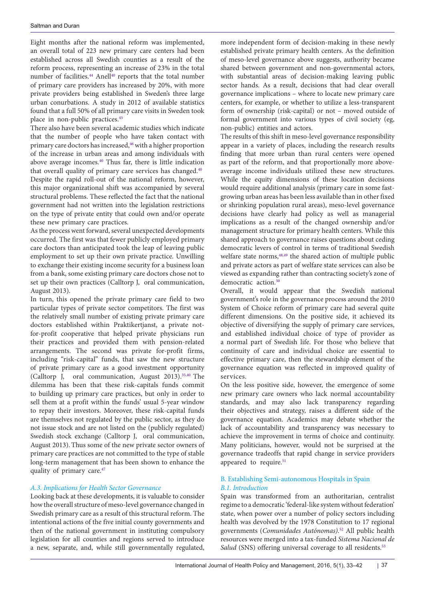Eight months after the national reform was implemented, an overall total of 223 new primary care centers had been established across all Swedish counties as a result of the reform process, representing an increase of 23% in the total number of facilities.<sup>[44](#page-9-5)</sup> Anell<sup>[40](#page-9-1)</sup> reports that the total number of primary care providers has increased by 20%, with more private providers being established in Sweden's three large urban conurbations. A study in 2012 of available statistics found that a full 50% of all primary care visits in Sweden took place in non-public practices.[45](#page-9-6)

There also have been several academic studies which indicate that the number of people who have taken contact with primary care doctors has increased,<sup>[46](#page-9-7)</sup> with a higher proportion of the increase in urban areas and among individuals with above average incomes[.40](#page-9-1) Thus far, there is little indication that overall quality of primary care services has changed.<sup>40</sup> Despite the rapid roll-out of the national reform, however, this major organizational shift was accompanied by several structural problems. These reflected the fact that the national government had not written into the legislation restrictions on the type of private entity that could own and/or operate these new primary care practices.

As the process went forward, several unexpected developments occurred. The first was that fewer publicly employed primary care doctors than anticipated took the leap of leaving public employment to set up their own private practice. Unwilling to exchange their existing income security for a business loan from a bank, some existing primary care doctors chose not to set up their own practices (Calltorp J, oral communication, August 2013).

In turn, this opened the private primary care field to two particular types of private sector competitors. The first was the relatively small number of existing private primary care doctors established within Praktikertjanst, a private notfor-profit cooperative that helped private physicians run their practices and provided them with pension-related arrangements. The second was private for-profit firms, including "risk-capital" funds, that saw the new structure of private primary care as a good investment opportunity (Calltorp J, oral communication, August 2013).[35](#page-8-24),[40](#page-9-1) The dilemma has been that these risk-capitals funds commit to building up primary care practices, but only in order to sell them at a profit within the funds' usual 5-year window to repay their investors. Moreover, these risk-capital funds are themselves not regulated by the public sector, as they do not issue stock and are not listed on the (publicly regulated) Swedish stock exchange (Calltorp J, oral communication, August 2013).Thus some of the new private sector owners of primary care practices are not committed to the type of stable long-term management that has been shown to enhance the quality of primary care.<sup>47</sup>

## *A.3. Implications for Health Sector Governance*

Looking back at these developments, it is valuable to consider how the overall structure of meso-level governance changed in Swedish primary care as a result of this structural reform. The intentional actions of the five initial county governments and then of the national government in instituting compulsory legislation for all counties and regions served to introduce a new, separate, and, while still governmentally regulated, more independent form of decision-making in these newly established private primary health centers. As the definition of meso-level governance above suggests, authority became shared between government and non-governmental actors, with substantial areas of decision-making leaving public sector hands. As a result, decisions that had clear overall governance implications – where to locate new primary care centers, for example, or whether to utilize a less-transparent form of ownership (risk-capital) or not – moved outside of formal government into various types of civil society (eg, non-public) entities and actors.

The results of this shift in meso-level governance responsibility appear in a variety of places, including the research results finding that more urban than rural centers were opened as part of the reform, and that proportionally more aboveaverage income individuals utilized these new structures. While the equity dimensions of these location decisions would require additional analysis (primary care in some fastgrowing urban areas has been less available than in other fixed or shrinking population rural areas), meso-level governance decisions have clearly had policy as well as managerial implications as a result of the changed ownership and/or management structure for primary health centers. While this shared approach to governance raises questions about ceding democratic levers of control in terms of traditional Swedish welfare state norms,  $48,49$  $48,49$  the shared action of multiple public and private actors as part of welfare state services can also be viewed as expanding rather than contracting society's zone of democratic action.<sup>[50](#page-9-11)</sup>

Overall, it would appear that the Swedish national government's role in the governance process around the 2010 System of Choice reform of primary care had several quite different dimensions. On the positive side, it achieved its objective of diversifying the supply of primary care services, and established individual choice of type of provider as a normal part of Swedish life. For those who believe that continuity of care and individual choice are essential to effective primary care, then the stewardship element of the governance equation was reflected in improved quality of services.

On the less positive side, however, the emergence of some new primary care owners who lack normal accountability standards, and may also lack transparency regarding their objectives and strategy, raises a different side of the governance equation. Academics may debate whether the lack of accountability and transparency was necessary to achieve the improvement in terms of choice and continuity. Many politicians, however, would not be surprised at the governance tradeoffs that rapid change in service providers appeared to require.<sup>51</sup>

## B. Establishing Semi-autonomous Hospitals in Spain *B.1. Introduction*

Spain was transformed from an authoritarian, centralist regime to a democratic 'federal-like system without federation' state, when power over a number of policy sectors including health was devolved by the 1978 Constitution to 17 regional governments (*Comunidades Autónomas)*. [52](#page-9-13) All public health resources were merged into a tax-funded *Sistema Nacional de*  Salud (SNS) offering universal coverage to all residents.<sup>[53](#page-9-14)</sup>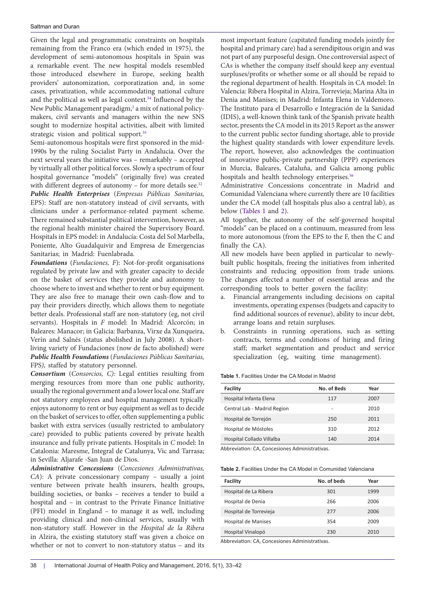Given the legal and programmatic constraints on hospitals remaining from the Franco era (which ended in 1975), the development of semi-autonomous hospitals in Spain was a remarkable event. The new hospital models resembled those introduced elsewhere in Europe, seeking health providers' autonomization, corporatization and, in some cases, privatization, while accommodating national culture and the political as well as legal context[.54](#page-9-15) Influenced by the New Public Management paradigm,<sup>2</sup> a mix of national policymakers, civil servants and managers within the new SNS sought to modernize hospital activities, albeit with limited strategic vision and political support.<sup>[55](#page-9-16)</sup>

Semi-autonomous hospitals were first sponsored in the mid-1990s by the ruling Socialist Party in Andalucia. Over the next several years the initiative was – remarkably – accepted by virtually all other political forces. Slowly a spectrum of four hospital governance "models" (originally five) was created with different degrees of autonomy - for more details see.<sup>[12](#page-8-6)</sup> *Public Health Enterprises* (*Empresas Públicas Sanitarias,* EPS): Staff are non-statutory instead of civil servants, with clinicians under a performance-related payment scheme. There remained substantial political intervention, however, as the regional health minister chaired the Supervisory Board. Hospitals in EPS model: in Andalucía: Costa del Sol Marbella, Poniente, Alto Guadalquivir and Empresa de Emergencias Sanitarias; in Madrid: Fuenlabrada.

*Foundations* (*Fundaciones, F*): Not-for-profit organisations regulated by private law and with greater capacity to decide on the basket of services they provide and autonomy to choose where to invest and whether to rent or buy equipment. They are also free to manage their own cash-flow and to pay their providers directly, which allows them to negotiate better deals. Professional staff are non-statutory (eg, not civil servants). Hospitals in *F* model: In Madrid: Alcorcón; in Baleares: Manacor; in Galicia: Barbanza, Virxe da Xunqueira, Verín and Salnés (status abolished in July 2008). A shortliving variety of Fundaciones (now de facto abolished) were *Public Health Foundations* (*Fundaciones Públicas Sanitarias,*  FPS*),* staffed by statutory personnel.

*Consortium* (*Consorcios, C):* Legal entities resulting from merging resources from more than one public authority, usually the regional government and a lower local one. Staff are not statutory employees and hospital management typically enjoys autonomy to rent or buy equipment as well as to decide on the basket of services to offer, often supplementing a public basket with extra services (usually restricted to ambulatory care) provided to public patients covered by private health insurance and fully private patients. Hospitals in *C* model: In Catalonia: Maresme, Integral de Catalunya, Vic and Tarrasa; in Sevilla: Aljarafe -San Juan de Dios.

*Administrative Concessions* (*Concesiones Administrativas, CA*): A private concessionary company – usually a joint venture between private health insurers, health groups, building societies, or banks – receives a tender to build a hospital and – in contrast to the Private Finance Initiative (PFI) model in England – to manage it as well, including providing clinical and non-clinical services, usually with non-statutory staff. However in the *Hospital de la Ribera* in Alzira, the existing statutory staff was given a choice on whether or not to convert to non-statutory status – and its most important feature (capitated funding models jointly for hospital and primary care) had a serendipitous origin and was not part of any purposeful design. One controversial aspect of CAs is whether the company itself should keep any eventual surpluses/profits or whether some or all should be repaid to the regional department of health. Hospitals in CA model: In Valencia: Ribera Hospital in Alzira, Torrevieja; Marina Alta in Denia and Manises; in Madrid: Infanta Elena in Valdemoro. The Instituto para el Desarrollo e Integración de la Sanidad (IDIS), a well-known think tank of the Spanish private health sector, presents the CA model in its 2015 Report as the answer to the current public sector funding shortage, able to provide the highest quality standards with lower expenditure levels. The report, however, also acknowledges the continuation of innovative public-private partnership (PPP) experiences in Murcia, Baleares, Cataluña, and Galicia among public hospitals and health technology enterprises.<sup>[56](#page-9-17)</sup>

Administrative Concessions concentrate in Madrid and Comunidad Valenciana where currently there are 10 facilities under the CA model (all hospitals plus also a central lab), as below [\(Tables 1](#page-5-0) and [2\)](#page-7-3).

All together, the autonomy of the self-governed hospital "models" can be placed on a continuum, measured from less to more autonomous (from the EPS to the F, then the C and finally the CA).

All new models have been applied in particular to newlybuilt public hospitals, freeing the initiatives from inherited constraints and reducing opposition from trade unions. The changes affected a number of essential areas and the corresponding tools to better govern the facility:

- a. Financial arrangements including decisions on capital investments, operating expenses (budgets and capacity to find additional sources of revenue), ability to incur debt, arrange loans and retain surpluses.
- b. Constraints in running operations, such as setting contracts, terms and conditions of hiring and firing staff; market segmentation and product and service specialization (eg, waiting time management).

<span id="page-5-0"></span>**Table 1.** Facilities Under the CA Model in Madrid

| No. of Beds | Year |
|-------------|------|
| 117         | 2007 |
| -           | 2010 |
| 250         | 2011 |
| 310         | 2012 |
| 140         | 2014 |
|             |      |

Abbreviation: CA, Concesiones Administrativas.

**Table 2.** Facilities Under the CA Model in Comunidad Valenciana

| Facility               | No. of beds | Year |
|------------------------|-------------|------|
| Hospital de La Ribera  | 301         | 1999 |
| Hospital de Denia      | 266         | 2006 |
| Hospital de Torrevieja | 277         | 2006 |
| Hospital de Manises    | 354         | 2009 |
| Hospital Vinalopó      | 230         | 2010 |

Abbreviation: CA, Concesiones Administrativas.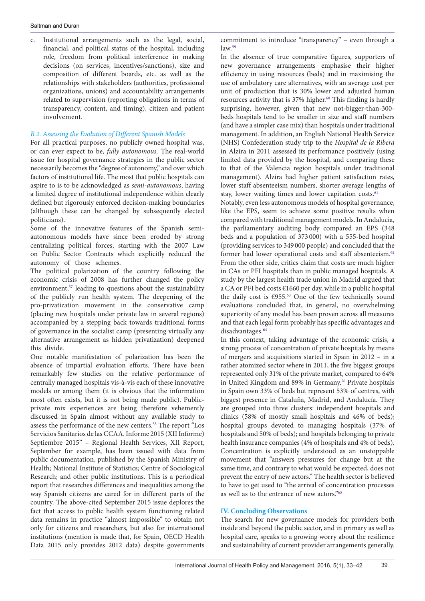c. Institutional arrangements such as the legal, social, financial, and political status of the hospital, including role, freedom from political interference in making decisions (on services, incentives/sanctions), size and composition of different boards, etc. as well as the relationships with stakeholders (authorities, professional organizations, unions) and accountability arrangements related to supervision (reporting obligations in terms of transparency, content, and timing), citizen and patient involvement.

### *B.2. Assessing the Evolution of Different Spanish Models*

For all practical purposes, no publicly owned hospital was, or can ever expect to be, *fully autonomous.* The real-world issue for hospital governance strategies in the public sector necessarily becomes the "degree of autonomy," and over which factors of institutional life. The most that public hospitals can aspire to is to be acknowledged as *semi-autonomous*, having a limited degree of institutional independence within clearly defined but rigorously enforced decision-making boundaries (although these can be changed by subsequently elected politicians).

Some of the innovative features of the Spanish semiautonomous models have since been eroded by strong centralizing political forces, starting with the 2007 Law on Public Sector Contracts which explicitly reduced the autonomy of those schemes.

The political polarization of the country following the economic crisis of 2008 has further changed the policy environment,<sup>57</sup> leading to questions about the sustainability of the publicly run health system. The deepening of the pro-privatization movement in the conservative camp (placing new hospitals under private law in several regions) accompanied by a stepping back towards traditional forms of governance in the socialist camp (presenting virtually any alternative arrangement as hidden privatization) deepened this divide.

One notable manifestation of polarization has been the absence of impartial evaluation efforts. There have been remarkably few studies on the relative performance of centrally managed hospitals vis-à-vis each of these innovative models or among them (it is obvious that the information most often exists, but it is not being made public). Publicprivate mix experiences are being therefore vehemently discussed in Spain almost without any available study to assess the performance of the new centers.[58](#page-9-19) The report "Los Servicios Sanitarios de las CCAA. Informe 2015 (XII Informe) Septiembre 2015" – Regional Health Services, XII Report, September for example, has been issued with data from public documentation, published by the Spanish Ministry of Health; National Institute of Statistics; Centre of Sociological Research; and other public institutions. This is a periodical report that researches differences and inequalities among the way Spanish citizens are cared for in different parts of the country. The above-cited September 2015 issue deplores the fact that access to public health system functioning related data remains in practice "almost impossible" to obtain not only for citizens and researchers, but also for international institutions (mention is made that, for Spain, OECD Health Data 2015 only provides 2012 data) despite governments

commitment to introduce "transparency" – even through a law.[59](#page-9-20)

In the absence of true comparative figures, supporters of new governance arrangements emphasise their higher efficiency in using resources (beds) and in maximising the use of ambulatory care alternatives, with an average cost per unit of production that is 30% lower and adjusted human resources activity that is 37% higher. [60](#page-9-21) This finding is hardly surprising, however, given that new not-bigger-than-300 beds hospitals tend to be smaller in size and staff numbers (and have a simpler case mix) than hospitals under traditional management. In addition, an English National Health Service (NHS) Confederation study trip to the *Hospital de la Ribera* in Alzira in 2011 assessed its performance positively (using limited data provided by the hospital, and comparing these to that of the Valencia region hospitals under traditional management). Alzira had higher patient satisfaction rates, lower staff absenteeism numbers, shorter average lengths of stay, lower waiting times and lower capitation costs.<sup>61</sup>

Notably, even less autonomous models of hospital governance, like the EPS, seem to achieve some positive results when compared with traditional management models. In Andalucia, the parliamentary auditing body compared an EPS (348 beds and a population of 373 000) with a 555-bed hospital (providing services to 349 000 people) and concluded that the former had lower operational costs and staff absenteeism.<sup>[62](#page-9-23)</sup> From the other side, critics claim that costs are much higher in CAs or PFI hospitals than in public managed hospitals. A study by the largest health trade union in Madrid argued that a CA or PFI bed costs €1660 per day, while in a public hospital the daily cost is €955. [63](#page-9-24) One of the few technically sound evaluations concluded that, in general, no overwhelming superiority of any model has been proven across all measures and that each legal form probably has specific advantages and disadvantages. [64](#page-9-25)

In this context, taking advantage of the economic crisis, a strong process of concentration of private hospitals by means of mergers and acquisitions started in Spain in 2012 – in a rather atomized sector where in 2011, the five biggest groups represented only 31% of the private market, compared to 64% in United Kingdom and 89% in Germany.<sup>56</sup> Private hospitals in Spain own 33% of beds but represent 53% of centres, with biggest presence in Cataluña, Madrid, and Andalucía. They are grouped into three clusters: independent hospitals and clinics (58% of mostly small hospitals and 46% of beds); hospital groups devoted to managing hospitals (37% of hospitals and 50% of beds); and hospitals belonging to private health insurance companies (4% of hospitals and 4% of beds). Concentration is explicitly understood as an unstoppable movement that "answers pressures for change but at the same time, and contrary to what would be expected, does not prevent the entry of new actors." The health sector is believed to have to get used to "the arrival of concentration processes as well as to the entrance of new actors."[65](#page-9-26)

## **IV. Concluding Observations**

The search for new governance models for providers both inside and beyond the public sector, and in primary as well as hospital care, speaks to a growing worry about the resilience and sustainability of current provider arrangements generally.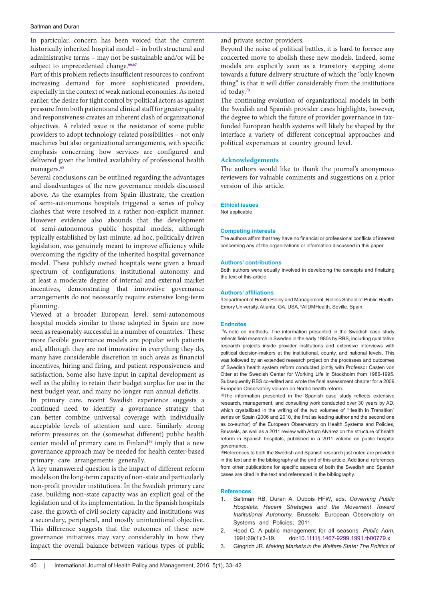In particular, concern has been voiced that the current historically inherited hospital model – in both structural and administrative terms – may not be sustainable and/or will be subject to unprecedented change.<sup>[66](#page-9-27)[,67](#page-9-28)</sup>

Part of this problem reflects insufficient resources to confront increasing demand for more sophisticated providers, especially in the context of weak national economies. As noted earlier, the desire for tight control by political actors as against pressure from both patients and clinical staff for greater quality and responsiveness creates an inherent clash of organizational objectives. A related issue is the resistance of some public providers to adopt technology-related possibilities – not only machines but also organizational arrangements, with specific emphasis concerning how services are configured and delivered given the limited availability of professional health managers.<sup>68</sup>

Several conclusions can be outlined regarding the advantages and disadvantages of the new governance models discussed above. As the examples from Spain illustrate, the creation of semi-autonomous hospitals triggered a series of policy clashes that were resolved in a rather non-explicit manner. However evidence also abounds that the development of semi-autonomous public hospital models, although typically established by last-minute, ad hoc, politically driven legislation, was genuinely meant to improve efficiency while overcoming the rigidity of the inherited hospital governance model. These publicly owned hospitals were given a broad spectrum of configurations, institutional autonomy and at least a moderate degree of internal and external market incentives, demonstrating that innovative governance arrangements do not necessarily require extensive long-term planning.

Viewed at a broader European level, semi-autonomous hospital models similar to those adopted in Spain are now seen as reasonably successful in a number of countries.<sup>[1](#page-7-2)</sup> These more flexible governance models are popular with patients and, although they are not innovative in everything they do, many have considerable discretion in such areas as financial incentives, hiring and firing, and patient responsiveness and satisfaction. Some also have input in capital development as well as the ability to retain their budget surplus for use in the next budget year, and many no longer run annual deficits.

In primary care, recent Swedish experience suggests a continued need to identify a governance strategy that can better combine universal coverage with individually acceptable levels of attention and care. Similarly strong reform pressures on the (somewhat different) public health center model of primary care in Finland<sup>69</sup> imply that a new governance approach may be needed for health center-based primary care arrangements generally.

A key unanswered question is the impact of different reform models on the long-term capacity of non-state and particularly non-profit provider institutions. In the Swedish primary care case, building non-state capacity was an explicit goal of the legislation and of its implementation. In the Spanish hospitals case, the growth of civil society capacity and institutions was a secondary, peripheral, and mostly unintentional objective. This difference suggests that the outcomes of these new governance initiatives may vary considerably in how they impact the overall balance between various types of public and private sector providers.

Beyond the noise of political battles, it is hard to foresee any concerted move to abolish these new models. Indeed, some models are explicitly seen as a transitory stepping stone towards a future delivery structure of which the "only known thing" is that it will differ considerably from the institutions of today.[70](#page-9-31)

The continuing evolution of organizational models in both the Swedish and Spanish provider cases highlights, however, the degree to which the future of provider governance in taxfunded European health systems will likely be shaped by the interface a variety of different conceptual approaches and political experiences at country ground level.

#### **Acknowledgements**

The authors would like to thank the journal's anonymous reviewers for valuable comments and suggestions on a prior version of this article.

#### **Ethical issues**

Not applicable.

#### **Competing interests**

The authors affirm that they have no financial or professional conflicts of interest concerning any of the organizations or information discussed in this paper.

#### **Authors' contributions**

Both authors were equally involved in developing the concepts and finalizing the text of this article.

#### **Authors' affiliations**

<span id="page-7-1"></span><span id="page-7-0"></span>1 Department of Health Policy and Management, Rollins School of Public Health, Emory University, Atlanta, GA, USA. <sup>2</sup> AllDMHealth, Seville, Spain.

#### **Endnotes**

<span id="page-7-5"></span>[1]A note on methods. The information presented in the Swedish case study reflects field research in Sweden in the early 1980s by RBS, including qualitative research projects inside provider institutions and extensive interviews with political decision-makers at the institutional, county, and national levels. This was followed by an extended research project on the processes and outcomes of Swedish health system reform conducted jointly with Professor Casten von Otter at the Swedish Center for Working Life in Stockholm from 1986-1995. Subsequently RBS co-edited and wrote the final assessment chapter for a 2009 European Observatory volume on Nordic health reform.

<sup>[2]</sup>The information presented in the Spanish case study reflects extensive research, management, and consulting work conducted over 30 years by AD, which crystallized in the writing of the two volumes of "Health in Transition" series on Spain (2006 and 2010, the first as leading author and the second one as co-author) of the European Observatory on Health Systems and Policies, Brussels, as well as a 2011 review with Arturo Alvarez on the structure of health reform in Spanish hospitals, published in a 2011 volume on public hospital governance.

<span id="page-7-6"></span>[3] References to both the Swedish and Spanish research just noted are provided in the text and in the bibliography at the end of this article. Additional references from other publications for specific aspects of both the Swedish and Spanish cases are cited in the text and referenced in the bibliography.

#### **References**

- <span id="page-7-2"></span>1. Saltman RB, Duran A, Dubois HFW, eds. *Governing Public Hospitals: Recent Strategies and the Movement Toward Institutional Autonomy*. Brussels: European Observatory on Systems and Policies; 2011.
- <span id="page-7-3"></span>2. Hood C. A public management for all seasons. *Public Adm*. 1991;69(1):3-19. doi:[10.1111/j.1467-9299.1991.tb00779.x](http://dx.doi.org/10.1111/j.1467-9299.1991.tb00779.x)
- <span id="page-7-4"></span>3. Gingrich JR. *Making Markets in the Welfare State: The Politics of*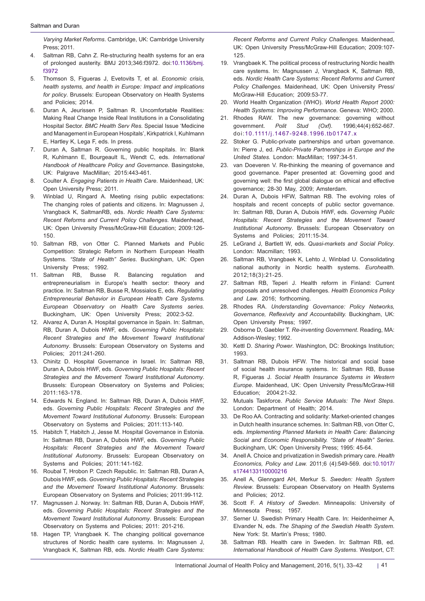<span id="page-8-0"></span>*Varying Market Reforms*. Cambridge, UK: Cambridge University Press; 2011.

- 4. Saltman RB, Cahn Z. Re-structuring health systems for an era of prolonged austerity. BMJ 2013;346:f3972. doi:[10.1136/bmj.](http://dx.doi.org/10.1136/bmj.f3972) [f3972](http://dx.doi.org/10.1136/bmj.f3972)
- 5. Thomson S, Figueras J, Evetovits T, et al. *Economic crisis, health systems, and health in Europe: Impact and implications for policy*. Brussels: European Observatory on Health Systems and Policies; 2014.
- <span id="page-8-1"></span>6. Duran A, Jeurissen P, Saltman R. Uncomfortable Realities: Making Real Change Inside Real Institutions in a Consolidating Hospital Sector. *BMC Health Serv Res*. Special Issue 'Medicine and Management in European Hospitals', Kirkpatrick I, Kuhlmann E, Hartley K, Lega F, eds. In press.
- <span id="page-8-2"></span>7. Duran A, Saltman R. Governing public hospitals. In: Blank R, Kuhlmann E, Bourgeault IL, Wendt C, eds. *International Handbook of Healthcare Policy and Governance.* Basingstoke, UK: Palgrave MacMillan; 2015:443-461.
- <span id="page-8-3"></span>8. Coulter A. *Engaging Patients in Health Care*. Maidenhead, UK: Open University Press; 2011.
- 9. Winblad U, Ringard A. Meeting rising public expectations: The changing roles of patients and citizens. In: Magnussen J, Vrangback K, SaltmanRB, eds. *Nordic Health Care Systems: Recent Reforms and Current Policy Challenges*. Maidenhead, UK: Open University Press/McGraw-Hill Education; 2009:126- 150.
- <span id="page-8-4"></span>10. Saltman RB, von Otter C. Planned Markets and Public Competition: Strategic Reform in Northern European Health Systems. *"State of Health" Series*. Buckingham, UK: Open University Press; 1992.
- <span id="page-8-5"></span>11. Saltman RB, Busse R. Balancing regulation and entrepreneurialism in Europe's health sector: theory and practice. In: Saltman RB, Busse R, Mossialos E, eds. *Regulating Entrepreneurial Behavior in European Health Care Systems. European Observatory on Health Care Systems series.* Buckingham, UK: Open University Press; 2002:3-52.
- <span id="page-8-6"></span>12. Alvarez A, Duran A. Hospital governance in Spain. In: Saltman, RB, Duran A, Dubois HWF, eds. *Governing Public Hospitals: Recent Strategies and the Movement Toward Institutional Autonomy*. Brussels: European Observatory on Systems and Policies; 2011:241-260.
- <span id="page-8-17"></span>13. Chinitz D. Hospital Governance in Israel. In: Saltman RB, Duran A, Dubois HWF, eds. *Governing Public Hospitals: Recent Strategies and the Movement Toward Institutional Autonomy*. Brussels: European Observatory on Systems and Policies; 2011:163-178.
- 14. Edwards N. England. In: Saltman RB, Duran A, Dubois HWF, eds. *Governing Public Hospitals: Recent Strategies and the Movement Toward Institutional Autonomy*. Brussels: European Observatory on Systems and Policies; 2011:113-140.
- <span id="page-8-15"></span>15. Habitch T, Habitch J, Jesse M. Hospital Governance in Estonia. In: Saltman RB, Duran A, Dubois HWF, eds. *Governing Public Hospitals: Recent Strategies and the Movement Toward Institutional Autonomy*. Brussels: European Observatory on Systems and Policies; 2011:141-162.
- <span id="page-8-16"></span>16. Roubal T, Hrobon P. Czech Republic. In: Saltman RB, Duran A, Dubois HWF, eds. *Governing Public Hospitals: Recent Strategies and the Movement Toward Institutional Autonomy*. Brussels: European Observatory on Systems and Policies; 2011:99-112.
- 17. Magnussen J. Norway. In: Saltman RB, Duran A, Dubois HWF, eds. *Governing Public Hospitals: Recent Strategies and the Movement Toward Institutional Autonomy*. Brussels: European Observatory on Systems and Policies; 2011: 201-216.
- 18. Hagen TP, Vrangbaek K. The changing political governance structures of Nordic health care systems. In: Magnussen J, Vrangback K, Saltman RB, eds. *Nordic Health Care Systems:*

*Recent Reforms and Current Policy Challenges.* Maidenhead, UK: Open University Press/McGraw-Hill Education; 2009:107- 125.

- <span id="page-8-7"></span>19. Vrangbaek K. The political process of restructuring Nordic health care systems. In: Magnussen J, Vrangback K, Saltman RB, eds. *Nordic Health Care Systems: Recent Reforms and Current Policy Challenges.* Maidenhead, UK: Open University Press/ McGraw-Hill Education; 2009:53-77.
- <span id="page-8-8"></span>20. World Health Organization (WHO). *World Health Report 2000: Health Systems: Improving Performance.* Geneva: WHO; 2000.
- <span id="page-8-9"></span>21. Rhodes RAW. The new governance: governing without government. *Polit Stud (Oxf).* 1996;44(4):652-667. doi:[10.1111/j.1467-9248.1996.tb01747.x](http://dx.doi.org/10.1111/j.1467-9248.1996.tb01747.x)
- 22. Stoker G. Public-private partnerships and urban governance. In: Pierre J, ed. *Public-Private Partnerships in Europe and the United States.* London: MacMillan; 1997:34-51.
- <span id="page-8-10"></span>23. van Doeveren V. Re-thinking the meaning of governance and good governance. Paper presented at: Governing good and governing well: the first global dialogue on ethical and effective governance; 28-30 May, 2009; Amsterdam.
- <span id="page-8-11"></span>24. Duran A, Dubois HFW, Saltman RB. The evolving roles of hospitals and recent concepts of public sector governance. In: Saltman RB, Duran A, Dubois HWF, eds. *Governing Public Hospitals: Recent Strategies and the Movement Toward Institutional Autonomy*. Brussels: European Observatory on Systems and Policies; 2011:15-34.
- <span id="page-8-12"></span>25. LeGrand J, Bartlett W, eds. *Quasi-markets and Social Policy*. London: Macmillan; 1993.
- <span id="page-8-13"></span>26. Saltman RB, Vrangbaek K, Lehto J, Winblad U. Consolidating national authority in Nordic health systems. *Eurohealth*. 2012;18(3):21-25.
- <span id="page-8-14"></span>27. Saltman RB, Teperi J. Health reform in Finland: Current proposals and unresolved challenges. *Health Economics Policy and Law*. 2016; forthcoming.
- <span id="page-8-18"></span>28. Rhodes RA. *Understanding Governance: Policy Networks, Governance, Reflexivity and Accountability.* Buckingham, UK: Open University Press; 1997.
- 29. Osborne D, Gaebler T. *Re-inventing Government*. Reading, MA: Addison-Wesley; 1992.
- <span id="page-8-19"></span>30. Kettl D. *Sharing Power*. Washington, DC: Brookings Institution; 1993.
- <span id="page-8-20"></span>31. Saltman RB, Dubois HFW. The historical and social base of social health insurance systems. In: Saltman RB, Busse R, Figueras J. *Social Health Insurance Systems in Western Europe*. Maidenhead, UK: Open University Press/McGraw-Hill Education; 2004:21-32.
- <span id="page-8-21"></span>32. Mutuals Taskforce. *Public Service Mutuals: The Next Steps*. London: Department of Health; 2014.
- <span id="page-8-22"></span>33. De Roo AA. Contracting and solidarity: Market-oriented changes in Dutch health insurance schemes. In: Saltman RB, von Otter C, eds. *Implementing Planned Markets in Health Care: Balancing Social and Economic Responsibility. "State of Health" Series*. Buckingham, UK: Open University Press; 1995: 45-64.
- <span id="page-8-23"></span>34. Anell A. Choice and privatization in Swedish primary care. *Health Economics, Policy and Law.* 2011;6 (4):549-569. doi:[10.1017/](http://dx.doi.org/10.1017/s1744133110000216) [s1744133110000216](http://dx.doi.org/10.1017/s1744133110000216)
- <span id="page-8-24"></span>35. Anell A, Glenngard AH, Merkur S. *Sweden: Health System Review*. Brussels: European Observatory on Health Systems and Policies; 2012.
- <span id="page-8-25"></span>36. Scott F. *A History of Sweden*. Minneapolis: University of Minnesota Press; 1957.
- <span id="page-8-26"></span>37. Serner U. Swedish Primary Health Care. In: Heidenheimer A, Elvander N, eds. *The Shaping of the Swedish Health System*. New York: St. Martin's Press; 1980.
- <span id="page-8-27"></span>38. Saltman RB. Health care in Sweden. In: Saltman RB, ed. *International Handbook of Health Care Systems*. Westport, CT: